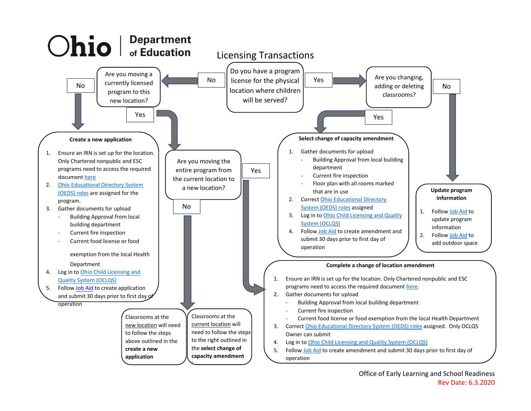